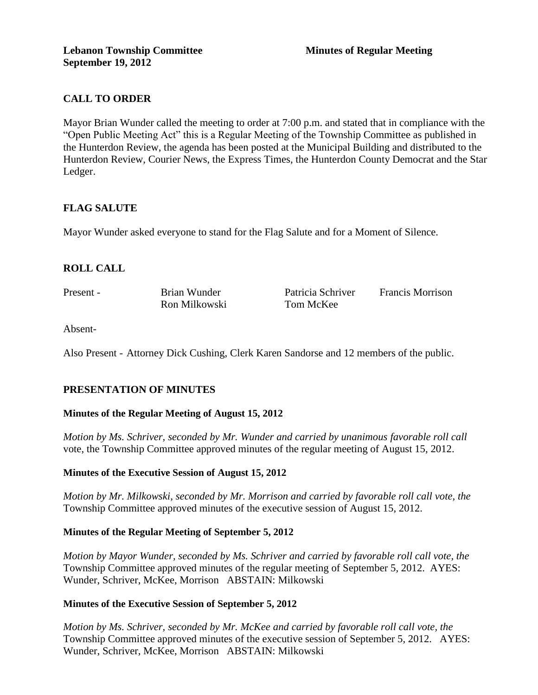## **CALL TO ORDER**

Mayor Brian Wunder called the meeting to order at 7:00 p.m. and stated that in compliance with the "Open Public Meeting Act" this is a Regular Meeting of the Township Committee as published in the Hunterdon Review, the agenda has been posted at the Municipal Building and distributed to the Hunterdon Review, Courier News, the Express Times, the Hunterdon County Democrat and the Star Ledger.

### **FLAG SALUTE**

Mayor Wunder asked everyone to stand for the Flag Salute and for a Moment of Silence.

## **ROLL CALL**

Present - Brian Wunder Patricia Schriver Francis Morrison Ron Milkowski Tom McKee

Absent-

Also Present - Attorney Dick Cushing, Clerk Karen Sandorse and 12 members of the public.

## **PRESENTATION OF MINUTES**

### **Minutes of the Regular Meeting of August 15, 2012**

*Motion by Ms. Schriver, seconded by Mr. Wunder and carried by unanimous favorable roll call*  vote, the Township Committee approved minutes of the regular meeting of August 15, 2012.

### **Minutes of the Executive Session of August 15, 2012**

*Motion by Mr. Milkowski, seconded by Mr. Morrison and carried by favorable roll call vote, the* Township Committee approved minutes of the executive session of August 15, 2012.

### **Minutes of the Regular Meeting of September 5, 2012**

*Motion by Mayor Wunder, seconded by Ms. Schriver and carried by favorable roll call vote, the* Township Committee approved minutes of the regular meeting of September 5, 2012. AYES: Wunder, Schriver, McKee, Morrison ABSTAIN: Milkowski

### **Minutes of the Executive Session of September 5, 2012**

*Motion by Ms. Schriver, seconded by Mr. McKee and carried by favorable roll call vote, the* Township Committee approved minutes of the executive session of September 5, 2012. AYES: Wunder, Schriver, McKee, Morrison ABSTAIN: Milkowski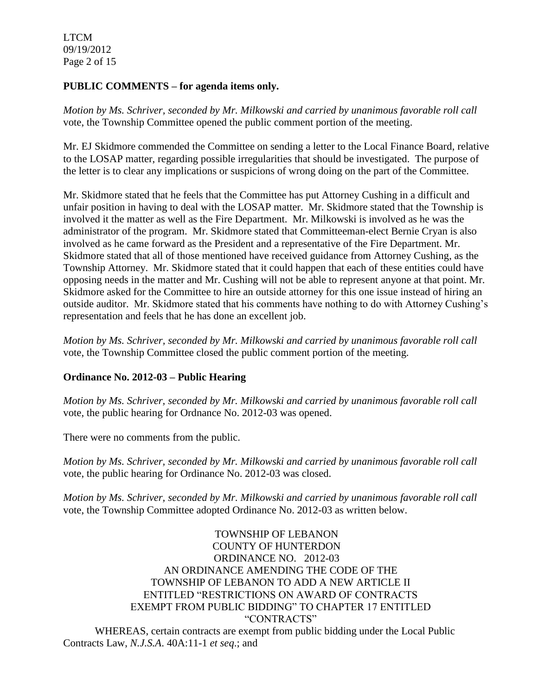LTCM 09/19/2012 Page 2 of 15

### **PUBLIC COMMENTS – for agenda items only.**

*Motion by Ms. Schriver, seconded by Mr. Milkowski and carried by unanimous favorable roll call*  vote, the Township Committee opened the public comment portion of the meeting.

Mr. EJ Skidmore commended the Committee on sending a letter to the Local Finance Board, relative to the LOSAP matter, regarding possible irregularities that should be investigated. The purpose of the letter is to clear any implications or suspicions of wrong doing on the part of the Committee.

Mr. Skidmore stated that he feels that the Committee has put Attorney Cushing in a difficult and unfair position in having to deal with the LOSAP matter. Mr. Skidmore stated that the Township is involved it the matter as well as the Fire Department. Mr. Milkowski is involved as he was the administrator of the program. Mr. Skidmore stated that Committeeman-elect Bernie Cryan is also involved as he came forward as the President and a representative of the Fire Department. Mr. Skidmore stated that all of those mentioned have received guidance from Attorney Cushing, as the Township Attorney. Mr. Skidmore stated that it could happen that each of these entities could have opposing needs in the matter and Mr. Cushing will not be able to represent anyone at that point. Mr. Skidmore asked for the Committee to hire an outside attorney for this one issue instead of hiring an outside auditor. Mr. Skidmore stated that his comments have nothing to do with Attorney Cushing's representation and feels that he has done an excellent job.

*Motion by Ms. Schriver, seconded by Mr. Milkowski and carried by unanimous favorable roll call*  vote, the Township Committee closed the public comment portion of the meeting.

## **Ordinance No. 2012-03 – Public Hearing**

*Motion by Ms. Schriver, seconded by Mr. Milkowski and carried by unanimous favorable roll call*  vote, the public hearing for Ordnance No. 2012-03 was opened.

There were no comments from the public.

*Motion by Ms. Schriver, seconded by Mr. Milkowski and carried by unanimous favorable roll call*  vote, the public hearing for Ordinance No. 2012-03 was closed.

*Motion by Ms. Schriver, seconded by Mr. Milkowski and carried by unanimous favorable roll call*  vote, the Township Committee adopted Ordinance No. 2012-03 as written below.

TOWNSHIP OF LEBANON COUNTY OF HUNTERDON ORDINANCE NO. 2012-03 AN ORDINANCE AMENDING THE CODE OF THE TOWNSHIP OF LEBANON TO ADD A NEW ARTICLE II ENTITLED "RESTRICTIONS ON AWARD OF CONTRACTS EXEMPT FROM PUBLIC BIDDING" TO CHAPTER 17 ENTITLED "CONTRACTS" WHEREAS, certain contracts are exempt from public bidding under the Local Public Contracts Law, *N.J.S.A*. 40A:11-1 *et seq*.; and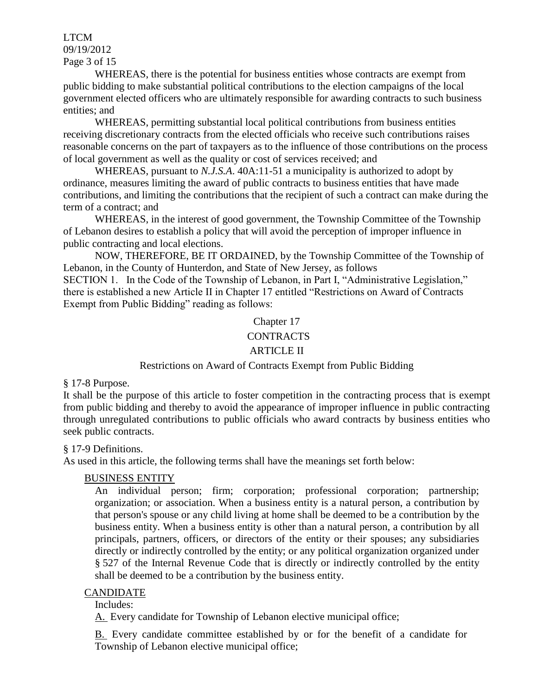### LTCM 09/19/2012 Page 3 of 15

WHEREAS, there is the potential for business entities whose contracts are exempt from public bidding to make substantial political contributions to the election campaigns of the local government elected officers who are ultimately responsible for awarding contracts to such business entities; and

WHEREAS, permitting substantial local political contributions from business entities receiving discretionary contracts from the elected officials who receive such contributions raises reasonable concerns on the part of taxpayers as to the influence of those contributions on the process of local government as well as the quality or cost of services received; and

WHEREAS, pursuant to *N.J.S.A*. 40A:11-51 a municipality is authorized to adopt by ordinance, measures limiting the award of public contracts to business entities that have made contributions, and limiting the contributions that the recipient of such a contract can make during the term of a contract; and

WHEREAS, in the interest of good government, the Township Committee of the Township of Lebanon desires to establish a policy that will avoid the perception of improper influence in public contracting and local elections.

NOW, THEREFORE, BE IT ORDAINED, by the Township Committee of the Township of Lebanon, in the County of Hunterdon, and State of New Jersey, as follows SECTION 1. In the Code of the Township of Lebanon, in Part I, "Administrative Legislation," there is established a new Article II in Chapter 17 entitled "Restrictions on Award of Contracts Exempt from Public Bidding" reading as follows:

## Chapter 17

### **CONTRACTS**

### ARTICLE II

### Restrictions on Award of Contracts Exempt from Public Bidding

§ 17-8 Purpose.

It shall be the purpose of this article to foster competition in the contracting process that is exempt from public bidding and thereby to avoid the appearance of improper influence in public contracting through unregulated contributions to public officials who award contracts by business entities who seek public contracts.

### § 17-9 Definitions.

As used in this article, the following terms shall have the meanings set forth below:

## [BUSINESS ENTITY](http://www.ecode360.com/15669897#15669897)

An individual person; firm; corporation; professional corporation; partnership; organization; or association. When a business entity is a natural person, a contribution by that person's spouse or any child living at home shall be deemed to be a contribution by the business entity. When a business entity is other than a natural person, a contribution by all principals, partners, officers, or directors of the entity or their spouses; any subsidiaries directly or indirectly controlled by the entity; or any political organization organized under § 527 of the Internal Revenue Code that is directly or indirectly controlled by the entity shall be deemed to be a contribution by the business entity.

### [CANDIDATE](http://www.ecode360.com/15669888#15669888)

Includes:

[A.](http://www.ecode360.com/15669925#15669925) Every candidate for Township of Lebanon elective municipal office;

[B.](http://www.ecode360.com/15669926#15669926) Every candidate committee established by or for the benefit of a candidate for Township of Lebanon elective municipal office;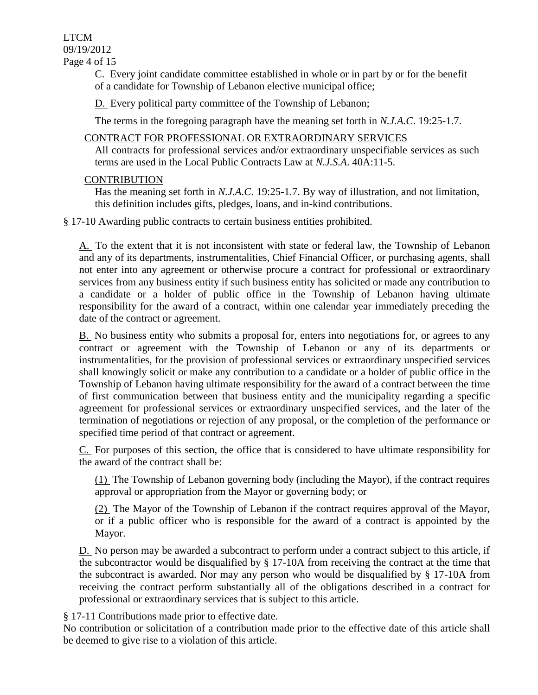LTCM 09/19/2012 Page 4 of 15

> [C.](http://www.ecode360.com/15669927#15669927) Every joint candidate committee established in whole or in part by or for the benefit of a candidate for Township of Lebanon elective municipal office;

[D.](http://www.ecode360.com/15669928#15669928) Every political party committee of the Township of Lebanon;

The terms in the foregoing paragraph have the meaning set forth in *N.J.A.C*. 19:25-1.7.

### [CONTRACT FOR PROFESSIONAL OR EXTRAORDINARY SERVICES](http://www.ecode360.com/15669896#15669896)

All contracts for professional services and/or extraordinary unspecifiable services as such terms are used in the Local Public Contracts Law at *N.J.S.A*. 40A:11-5.

### **[CONTRIBUTION](http://www.ecode360.com/15669895#15669895)**

Has the meaning set forth in *N.J.A.C*. 19:25-1.7. By way of illustration, and not limitation, this definition includes gifts, pledges, loans, and in-kind contributions.

§ 17-10 Awarding public contracts to certain business entities prohibited.

[A.](http://www.ecode360.com/15669899#15669899) To the extent that it is not inconsistent with state or federal law, the Township of Lebanon and any of its departments, instrumentalities, Chief Financial Officer, or purchasing agents, shall not enter into any agreement or otherwise procure a contract for professional or extraordinary services from any business entity if such business entity has solicited or made any contribution to a candidate or a holder of public office in the Township of Lebanon having ultimate responsibility for the award of a contract, within one calendar year immediately preceding the date of the contract or agreement.

[B.](http://www.ecode360.com/15669900#15669900) No business entity who submits a proposal for, enters into negotiations for, or agrees to any contract or agreement with the Township of Lebanon or any of its departments or instrumentalities, for the provision of professional services or extraordinary unspecified services shall knowingly solicit or make any contribution to a candidate or a holder of public office in the Township of Lebanon having ultimate responsibility for the award of a contract between the time of first communication between that business entity and the municipality regarding a specific agreement for professional services or extraordinary unspecified services, and the later of the termination of negotiations or rejection of any proposal, or the completion of the performance or specified time period of that contract or agreement.

[C.](http://www.ecode360.com/15669901#15669901) For purposes of this section, the office that is considered to have ultimate responsibility for the award of the contract shall be:

[\(1\)](http://www.ecode360.com/15669902#15669902) The Township of Lebanon governing body (including the Mayor), if the contract requires approval or appropriation from the Mayor or governing body; or

[\(2\)](http://www.ecode360.com/15669903#15669903) The Mayor of the Township of Lebanon if the contract requires approval of the Mayor, or if a public officer who is responsible for the award of a contract is appointed by the Mayor.

[D.](http://www.ecode360.com/15669904#15669904) No person may be awarded a subcontract to perform under a contract subject to this article, if the subcontractor would be disqualified by § 17-10A from receiving the contract at the time that the subcontract is awarded. Nor may any person who would be disqualified by § 17-10A from receiving the contract perform substantially all of the obligations described in a contract for professional or extraordinary services that is subject to this article.

§ 17-11 Contributions made prior to effective date.

No contribution or solicitation of a contribution made prior to the effective date of this article shall be deemed to give rise to a violation of this article.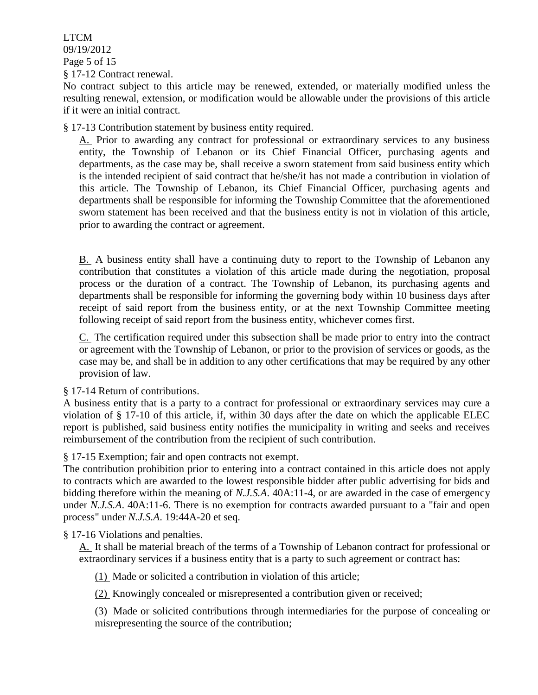LTCM 09/19/2012 Page 5 of 15 § 17-12 Contract renewal.

No contract subject to this article may be renewed, extended, or materially modified unless the resulting renewal, extension, or modification would be allowable under the provisions of this article if it were an initial contract.

§ 17-13 Contribution statement by business entity required.

[A.](http://www.ecode360.com/15669908#15669908) Prior to awarding any contract for professional or extraordinary services to any business entity, the Township of Lebanon or its Chief Financial Officer, purchasing agents and departments, as the case may be, shall receive a sworn statement from said business entity which is the intended recipient of said contract that he/she/it has not made a contribution in violation of this article. The Township of Lebanon, its Chief Financial Officer, purchasing agents and departments shall be responsible for informing the Township Committee that the aforementioned sworn statement has been received and that the business entity is not in violation of this article, prior to awarding the contract or agreement.

[B.](http://www.ecode360.com/15669909#15669909) A business entity shall have a continuing duty to report to the Township of Lebanon any contribution that constitutes a violation of this article made during the negotiation, proposal process or the duration of a contract. The Township of Lebanon, its purchasing agents and departments shall be responsible for informing the governing body within 10 business days after receipt of said report from the business entity, or at the next Township Committee meeting following receipt of said report from the business entity, whichever comes first.

[C.](http://www.ecode360.com/15669910#15669910) The certification required under this subsection shall be made prior to entry into the contract or agreement with the Township of Lebanon, or prior to the provision of services or goods, as the case may be, and shall be in addition to any other certifications that may be required by any other provision of law.

§ 17-14 Return of contributions.

A business entity that is a party to a contract for professional or extraordinary services may cure a violation of § 17-10 of this article, if, within 30 days after the date on which the applicable ELEC report is published, said business entity notifies the municipality in writing and seeks and receives reimbursement of the contribution from the recipient of such contribution.

§ 17-15 Exemption; fair and open contracts not exempt.

The contribution prohibition prior to entering into a contract contained in this article does not apply to contracts which are awarded to the lowest responsible bidder after public advertising for bids and bidding therefore within the meaning of *N.J.S.A*. 40A:11-4, or are awarded in the case of emergency under *N.J.S.A.* 40A:11-6. There is no exemption for contracts awarded pursuant to a "fair and open process" under *N.J.S.A*. 19:44A-20 et seq.

§ 17-16 Violations and penalties.

[A.](http://www.ecode360.com/15669914#15669914) It shall be material breach of the terms of a Township of Lebanon contract for professional or extraordinary services if a business entity that is a party to such agreement or contract has:

[\(1\)](http://www.ecode360.com/15669915#15669915) Made or solicited a contribution in violation of this article;

[\(2\)](http://www.ecode360.com/15669916#15669916) Knowingly concealed or misrepresented a contribution given or received;

[\(3\)](http://www.ecode360.com/15669917#15669917) Made or solicited contributions through intermediaries for the purpose of concealing or misrepresenting the source of the contribution;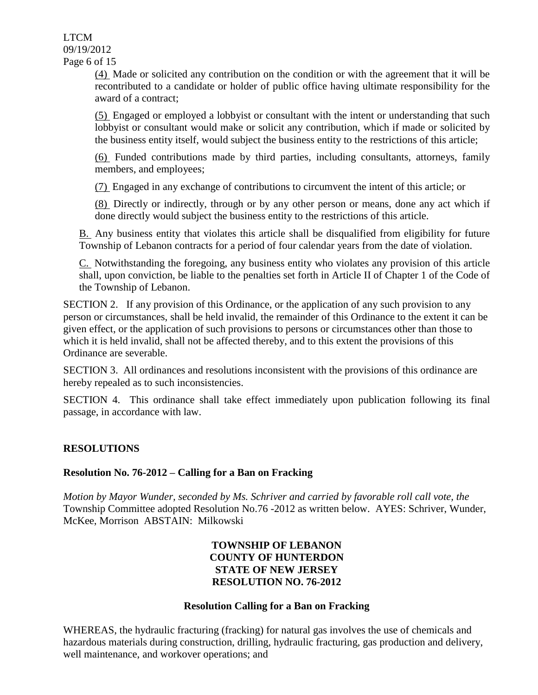LTCM 09/19/2012 Page 6 of 15

> [\(4\)](http://www.ecode360.com/15669918#15669918) Made or solicited any contribution on the condition or with the agreement that it will be recontributed to a candidate or holder of public office having ultimate responsibility for the award of a contract;

> [\(5\)](http://www.ecode360.com/15669919#15669919) Engaged or employed a lobbyist or consultant with the intent or understanding that such lobbyist or consultant would make or solicit any contribution, which if made or solicited by the business entity itself, would subject the business entity to the restrictions of this article;

> [\(6\)](http://www.ecode360.com/15669920#15669920) Funded contributions made by third parties, including consultants, attorneys, family members, and employees;

[\(7\)](http://www.ecode360.com/15669921#15669921) Engaged in any exchange of contributions to circumvent the intent of this article; or

[\(8\)](http://www.ecode360.com/15669922#15669922) Directly or indirectly, through or by any other person or means, done any act which if done directly would subject the business entity to the restrictions of this article.

[B.](http://www.ecode360.com/15669923#15669923) Any business entity that violates this article shall be disqualified from eligibility for future Township of Lebanon contracts for a period of four calendar years from the date of violation.

[C.](http://www.ecode360.com/15669924#15669924) Notwithstanding the foregoing, any business entity who violates any provision of this article shall, upon conviction, be liable to the penalties set forth in Article II of Chapter 1 of the Code of the Township of Lebanon.

SECTION 2. If any provision of this Ordinance, or the application of any such provision to any person or circumstances, shall be held invalid, the remainder of this Ordinance to the extent it can be given effect, or the application of such provisions to persons or circumstances other than those to which it is held invalid, shall not be affected thereby, and to this extent the provisions of this Ordinance are severable.

SECTION 3. All ordinances and resolutions inconsistent with the provisions of this ordinance are hereby repealed as to such inconsistencies.

SECTION 4. This ordinance shall take effect immediately upon publication following its final passage, in accordance with law.

## **RESOLUTIONS**

### **Resolution No. 76-2012 – Calling for a Ban on Fracking**

*Motion by Mayor Wunder, seconded by Ms. Schriver and carried by favorable roll call vote, the* Township Committee adopted Resolution No.76 -2012 as written below. AYES: Schriver, Wunder, McKee, Morrison ABSTAIN: Milkowski

### **TOWNSHIP OF LEBANON COUNTY OF HUNTERDON STATE OF NEW JERSEY RESOLUTION NO. 76-2012**

### **Resolution Calling for a Ban on Fracking**

WHEREAS, the hydraulic fracturing (fracking) for natural gas involves the use of chemicals and hazardous materials during construction, drilling, hydraulic fracturing, gas production and delivery, well maintenance, and workover operations; and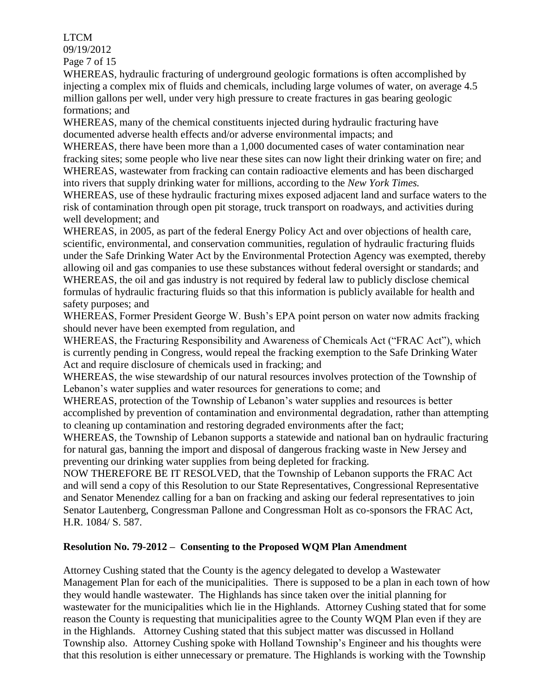### LTCM

09/19/2012

Page 7 of 15

WHEREAS, hydraulic fracturing of underground geologic formations is often accomplished by injecting a complex mix of fluids and chemicals, including large volumes of water, on average 4.5 million gallons per well, under very high pressure to create fractures in gas bearing geologic formations; and

WHEREAS, many of the chemical constituents injected during hydraulic fracturing have documented adverse health effects and/or adverse environmental impacts; and

WHEREAS, there have been more than a 1,000 documented cases of water contamination near fracking sites; some people who live near these sites can now light their drinking water on fire; and WHEREAS, wastewater from fracking can contain radioactive elements and has been discharged into rivers that supply drinking water for millions, according to the *New York Times.*

WHEREAS, use of these hydraulic fracturing mixes exposed adjacent land and surface waters to the risk of contamination through open pit storage, truck transport on roadways, and activities during well development; and

WHEREAS, in 2005, as part of the federal Energy Policy Act and over objections of health care, scientific, environmental, and conservation communities, regulation of hydraulic fracturing fluids under the Safe Drinking Water Act by the Environmental Protection Agency was exempted, thereby allowing oil and gas companies to use these substances without federal oversight or standards; and WHEREAS, the oil and gas industry is not required by federal law to publicly disclose chemical formulas of hydraulic fracturing fluids so that this information is publicly available for health and safety purposes; and

WHEREAS, Former President George W. Bush's EPA point person on water now admits fracking should never have been exempted from regulation, and

WHEREAS, the Fracturing Responsibility and Awareness of Chemicals Act ("FRAC Act"), which is currently pending in Congress, would repeal the fracking exemption to the Safe Drinking Water Act and require disclosure of chemicals used in fracking; and

WHEREAS, the wise stewardship of our natural resources involves protection of the Township of Lebanon's water supplies and water resources for generations to come; and

WHEREAS, protection of the Township of Lebanon's water supplies and resources is better accomplished by prevention of contamination and environmental degradation, rather than attempting to cleaning up contamination and restoring degraded environments after the fact;

WHEREAS, the Township of Lebanon supports a statewide and national ban on hydraulic fracturing for natural gas, banning the import and disposal of dangerous fracking waste in New Jersey and preventing our drinking water supplies from being depleted for fracking.

NOW THEREFORE BE IT RESOLVED, that the Township of Lebanon supports the FRAC Act and will send a copy of this Resolution to our State Representatives, Congressional Representative and Senator Menendez calling for a ban on fracking and asking our federal representatives to join Senator Lautenberg, Congressman Pallone and Congressman Holt as co-sponsors the FRAC Act, H.R. 1084/ S. 587.

## **Resolution No. 79-2012 – Consenting to the Proposed WQM Plan Amendment**

Attorney Cushing stated that the County is the agency delegated to develop a Wastewater Management Plan for each of the municipalities. There is supposed to be a plan in each town of how they would handle wastewater. The Highlands has since taken over the initial planning for wastewater for the municipalities which lie in the Highlands. Attorney Cushing stated that for some reason the County is requesting that municipalities agree to the County WQM Plan even if they are in the Highlands. Attorney Cushing stated that this subject matter was discussed in Holland Township also. Attorney Cushing spoke with Holland Township's Engineer and his thoughts were that this resolution is either unnecessary or premature. The Highlands is working with the Township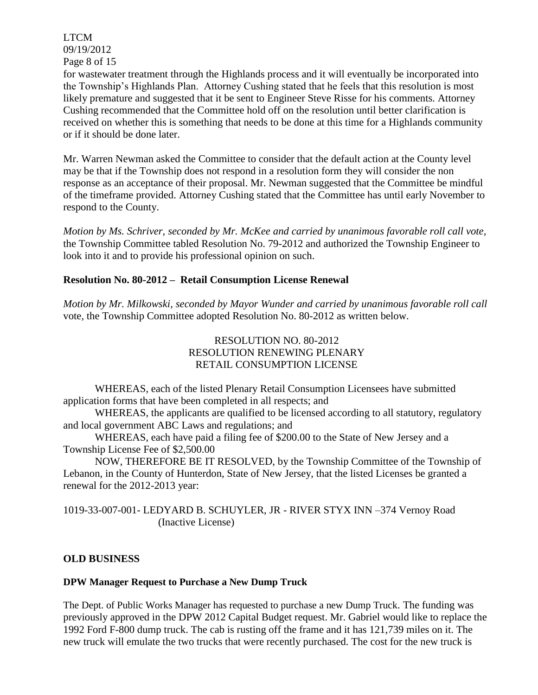LTCM 09/19/2012 Page 8 of 15

for wastewater treatment through the Highlands process and it will eventually be incorporated into the Township's Highlands Plan. Attorney Cushing stated that he feels that this resolution is most likely premature and suggested that it be sent to Engineer Steve Risse for his comments. Attorney Cushing recommended that the Committee hold off on the resolution until better clarification is received on whether this is something that needs to be done at this time for a Highlands community or if it should be done later.

Mr. Warren Newman asked the Committee to consider that the default action at the County level may be that if the Township does not respond in a resolution form they will consider the non response as an acceptance of their proposal. Mr. Newman suggested that the Committee be mindful of the timeframe provided. Attorney Cushing stated that the Committee has until early November to respond to the County.

*Motion by Ms. Schriver, seconded by Mr. McKee and carried by unanimous favorable roll call vote,* the Township Committee tabled Resolution No. 79-2012 and authorized the Township Engineer to look into it and to provide his professional opinion on such.

## **Resolution No. 80-2012 – Retail Consumption License Renewal**

*Motion by Mr. Milkowski, seconded by Mayor Wunder and carried by unanimous favorable roll call*  vote*,* the Township Committee adopted Resolution No. 80-2012 as written below.

### RESOLUTION NO. 80-2012 RESOLUTION RENEWING PLENARY RETAIL CONSUMPTION LICENSE

WHEREAS, each of the listed Plenary Retail Consumption Licensees have submitted application forms that have been completed in all respects; and

WHEREAS, the applicants are qualified to be licensed according to all statutory, regulatory and local government ABC Laws and regulations; and

WHEREAS, each have paid a filing fee of \$200.00 to the State of New Jersey and a Township License Fee of \$2,500.00

NOW, THEREFORE BE IT RESOLVED, by the Township Committee of the Township of Lebanon, in the County of Hunterdon, State of New Jersey, that the listed Licenses be granted a renewal for the 2012-2013 year:

1019-33-007-001- LEDYARD B. SCHUYLER, JR - RIVER STYX INN –374 Vernoy Road (Inactive License)

## **OLD BUSINESS**

### **DPW Manager Request to Purchase a New Dump Truck**

The Dept. of Public Works Manager has requested to purchase a new Dump Truck*.* The funding was previously approved in the DPW 2012 Capital Budget request. Mr. Gabriel would like to replace the 1992 Ford F-800 dump truck. The cab is rusting off the frame and it has 121,739 miles on it. The new truck will emulate the two trucks that were recently purchased. The cost for the new truck is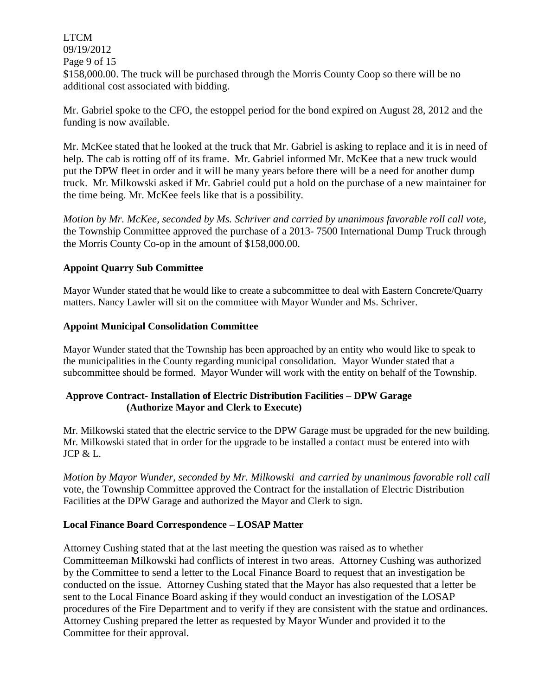LTCM 09/19/2012 Page 9 of 15 \$158,000.00. The truck will be purchased through the Morris County Coop so there will be no additional cost associated with bidding.

Mr. Gabriel spoke to the CFO, the estoppel period for the bond expired on August 28, 2012 and the funding is now available.

Mr. McKee stated that he looked at the truck that Mr. Gabriel is asking to replace and it is in need of help. The cab is rotting off of its frame. Mr. Gabriel informed Mr. McKee that a new truck would put the DPW fleet in order and it will be many years before there will be a need for another dump truck. Mr. Milkowski asked if Mr. Gabriel could put a hold on the purchase of a new maintainer for the time being. Mr. McKee feels like that is a possibility.

*Motion by Mr. McKee, seconded by Ms. Schriver and carried by unanimous favorable roll call vote,* the Township Committee approved the purchase of a 2013- 7500 International Dump Truck through the Morris County Co-op in the amount of \$158,000.00.

### **Appoint Quarry Sub Committee**

Mayor Wunder stated that he would like to create a subcommittee to deal with Eastern Concrete/Quarry matters. Nancy Lawler will sit on the committee with Mayor Wunder and Ms. Schriver.

### **Appoint Municipal Consolidation Committee**

Mayor Wunder stated that the Township has been approached by an entity who would like to speak to the municipalities in the County regarding municipal consolidation. Mayor Wunder stated that a subcommittee should be formed. Mayor Wunder will work with the entity on behalf of the Township.

### **Approve Contract- Installation of Electric Distribution Facilities – DPW Garage (Authorize Mayor and Clerk to Execute)**

Mr. Milkowski stated that the electric service to the DPW Garage must be upgraded for the new building. Mr. Milkowski stated that in order for the upgrade to be installed a contact must be entered into with JCP & L.

*Motion by Mayor Wunder, seconded by Mr. Milkowski and carried by unanimous favorable roll call*  vote, the Township Committee approved the Contract for the installation of Electric Distribution Facilities at the DPW Garage and authorized the Mayor and Clerk to sign.

### **Local Finance Board Correspondence – LOSAP Matter**

Attorney Cushing stated that at the last meeting the question was raised as to whether Committeeman Milkowski had conflicts of interest in two areas. Attorney Cushing was authorized by the Committee to send a letter to the Local Finance Board to request that an investigation be conducted on the issue. Attorney Cushing stated that the Mayor has also requested that a letter be sent to the Local Finance Board asking if they would conduct an investigation of the LOSAP procedures of the Fire Department and to verify if they are consistent with the statue and ordinances. Attorney Cushing prepared the letter as requested by Mayor Wunder and provided it to the Committee for their approval.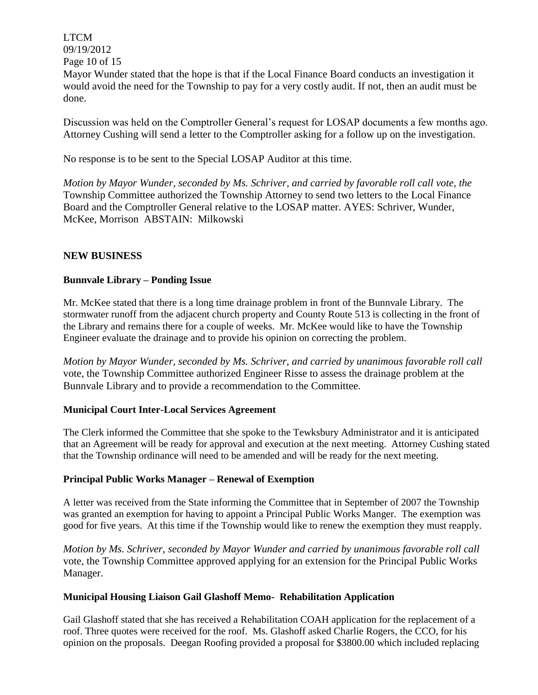LTCM 09/19/2012 Page 10 of 15

Mayor Wunder stated that the hope is that if the Local Finance Board conducts an investigation it would avoid the need for the Township to pay for a very costly audit. If not, then an audit must be done.

Discussion was held on the Comptroller General's request for LOSAP documents a few months ago. Attorney Cushing will send a letter to the Comptroller asking for a follow up on the investigation.

No response is to be sent to the Special LOSAP Auditor at this time.

*Motion by Mayor Wunder, seconded by Ms. Schriver, and carried by favorable roll call vote, the* Township Committee authorized the Township Attorney to send two letters to the Local Finance Board and the Comptroller General relative to the LOSAP matter. AYES: Schriver, Wunder, McKee, Morrison ABSTAIN: Milkowski

### **NEW BUSINESS**

### **Bunnvale Library – Ponding Issue**

Mr. McKee stated that there is a long time drainage problem in front of the Bunnvale Library. The stormwater runoff from the adjacent church property and County Route 513 is collecting in the front of the Library and remains there for a couple of weeks. Mr. McKee would like to have the Township Engineer evaluate the drainage and to provide his opinion on correcting the problem.

*Motion by Mayor Wunder, seconded by Ms. Schriver, and carried by unanimous favorable roll call*  vote, the Township Committee authorized Engineer Risse to assess the drainage problem at the Bunnvale Library and to provide a recommendation to the Committee.

### **Municipal Court Inter-Local Services Agreement**

The Clerk informed the Committee that she spoke to the Tewksbury Administrator and it is anticipated that an Agreement will be ready for approval and execution at the next meeting. Attorney Cushing stated that the Township ordinance will need to be amended and will be ready for the next meeting.

### **Principal Public Works Manager – Renewal of Exemption**

A letter was received from the State informing the Committee that in September of 2007 the Township was granted an exemption for having to appoint a Principal Public Works Manger. The exemption was good for five years. At this time if the Township would like to renew the exemption they must reapply.

*Motion by Ms. Schriver, seconded by Mayor Wunder and carried by unanimous favorable roll call*  vote, the Township Committee approved applying for an extension for the Principal Public Works Manager.

### **Municipal Housing Liaison Gail Glashoff Memo- Rehabilitation Application**

Gail Glashoff stated that she has received a Rehabilitation COAH application for the replacement of a roof. Three quotes were received for the roof. Ms. Glashoff asked Charlie Rogers, the CCO, for his opinion on the proposals. Deegan Roofing provided a proposal for \$3800.00 which included replacing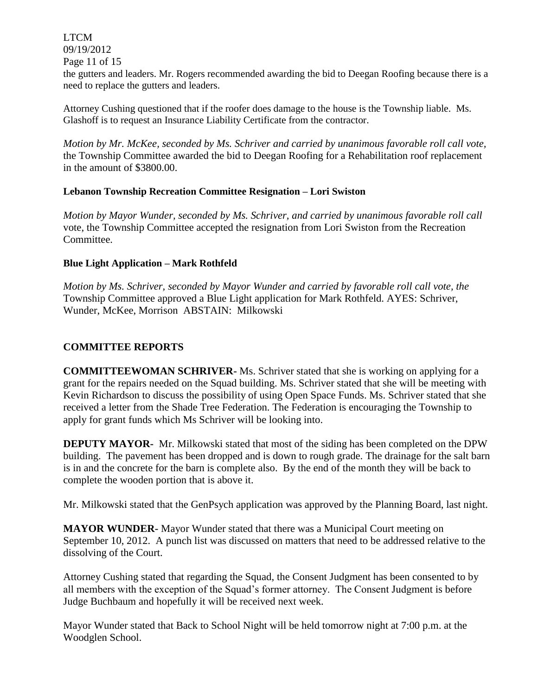LTCM 09/19/2012

Page 11 of 15

the gutters and leaders. Mr. Rogers recommended awarding the bid to Deegan Roofing because there is a need to replace the gutters and leaders.

Attorney Cushing questioned that if the roofer does damage to the house is the Township liable. Ms. Glashoff is to request an Insurance Liability Certificate from the contractor.

*Motion by Mr. McKee, seconded by Ms. Schriver and carried by unanimous favorable roll call vote,* the Township Committee awarded the bid to Deegan Roofing for a Rehabilitation roof replacement in the amount of \$3800.00.

### **Lebanon Township Recreation Committee Resignation – Lori Swiston**

*Motion by Mayor Wunder, seconded by Ms. Schriver, and carried by unanimous favorable roll call*  vote, the Township Committee accepted the resignation from Lori Swiston from the Recreation Committee.

### **Blue Light Application – Mark Rothfeld**

*Motion by Ms. Schriver, seconded by Mayor Wunder and carried by favorable roll call vote, the* Township Committee approved a Blue Light application for Mark Rothfeld. AYES: Schriver, Wunder, McKee, Morrison ABSTAIN: Milkowski

### **COMMITTEE REPORTS**

**COMMITTEEWOMAN SCHRIVER-** Ms. Schriver stated that she is working on applying for a grant for the repairs needed on the Squad building. Ms. Schriver stated that she will be meeting with Kevin Richardson to discuss the possibility of using Open Space Funds. Ms. Schriver stated that she received a letter from the Shade Tree Federation. The Federation is encouraging the Township to apply for grant funds which Ms Schriver will be looking into.

**DEPUTY MAYOR-** Mr. Milkowski stated that most of the siding has been completed on the DPW building. The pavement has been dropped and is down to rough grade. The drainage for the salt barn is in and the concrete for the barn is complete also. By the end of the month they will be back to complete the wooden portion that is above it.

Mr. Milkowski stated that the GenPsych application was approved by the Planning Board, last night.

**MAYOR WUNDER-** Mayor Wunder stated that there was a Municipal Court meeting on September 10, 2012. A punch list was discussed on matters that need to be addressed relative to the dissolving of the Court.

Attorney Cushing stated that regarding the Squad, the Consent Judgment has been consented to by all members with the exception of the Squad's former attorney. The Consent Judgment is before Judge Buchbaum and hopefully it will be received next week.

Mayor Wunder stated that Back to School Night will be held tomorrow night at 7:00 p.m. at the Woodglen School.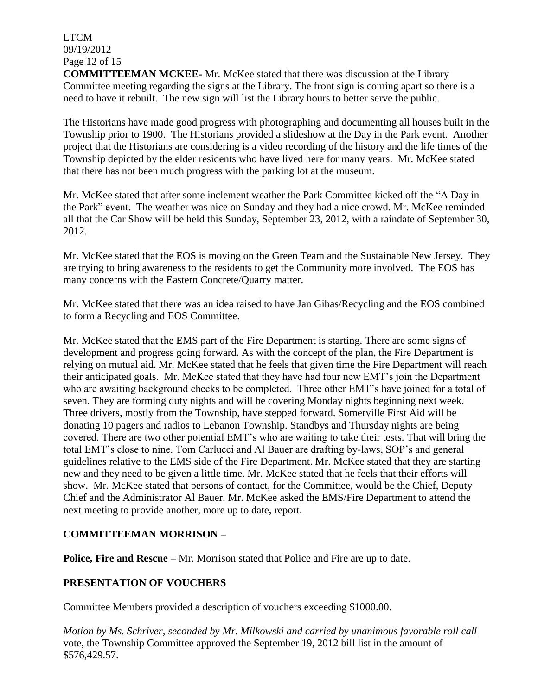LTCM 09/19/2012 Page 12 of 15

**COMMITTEEMAN MCKEE-** Mr. McKee stated that there was discussion at the Library Committee meeting regarding the signs at the Library. The front sign is coming apart so there is a need to have it rebuilt. The new sign will list the Library hours to better serve the public.

The Historians have made good progress with photographing and documenting all houses built in the Township prior to 1900. The Historians provided a slideshow at the Day in the Park event. Another project that the Historians are considering is a video recording of the history and the life times of the Township depicted by the elder residents who have lived here for many years. Mr. McKee stated that there has not been much progress with the parking lot at the museum.

Mr. McKee stated that after some inclement weather the Park Committee kicked off the "A Day in the Park" event. The weather was nice on Sunday and they had a nice crowd. Mr. McKee reminded all that the Car Show will be held this Sunday, September 23, 2012, with a raindate of September 30, 2012.

Mr. McKee stated that the EOS is moving on the Green Team and the Sustainable New Jersey. They are trying to bring awareness to the residents to get the Community more involved. The EOS has many concerns with the Eastern Concrete/Quarry matter.

Mr. McKee stated that there was an idea raised to have Jan Gibas/Recycling and the EOS combined to form a Recycling and EOS Committee.

Mr. McKee stated that the EMS part of the Fire Department is starting. There are some signs of development and progress going forward. As with the concept of the plan, the Fire Department is relying on mutual aid. Mr. McKee stated that he feels that given time the Fire Department will reach their anticipated goals. Mr. McKee stated that they have had four new EMT's join the Department who are awaiting background checks to be completed. Three other EMT's have joined for a total of seven. They are forming duty nights and will be covering Monday nights beginning next week. Three drivers, mostly from the Township, have stepped forward. Somerville First Aid will be donating 10 pagers and radios to Lebanon Township. Standbys and Thursday nights are being covered. There are two other potential EMT's who are waiting to take their tests. That will bring the total EMT's close to nine. Tom Carlucci and Al Bauer are drafting by-laws, SOP's and general guidelines relative to the EMS side of the Fire Department. Mr. McKee stated that they are starting new and they need to be given a little time. Mr. McKee stated that he feels that their efforts will show. Mr. McKee stated that persons of contact, for the Committee, would be the Chief, Deputy Chief and the Administrator Al Bauer. Mr. McKee asked the EMS/Fire Department to attend the next meeting to provide another, more up to date, report.

## **COMMITTEEMAN MORRISON –**

**Police, Fire and Rescue** – Mr. Morrison stated that Police and Fire are up to date.

## **PRESENTATION OF VOUCHERS**

Committee Members provided a description of vouchers exceeding \$1000.00.

*Motion by Ms. Schriver, seconded by Mr. Milkowski and carried by unanimous favorable roll call*  vote, the Township Committee approved the September 19, 2012 bill list in the amount of \$576,429.57.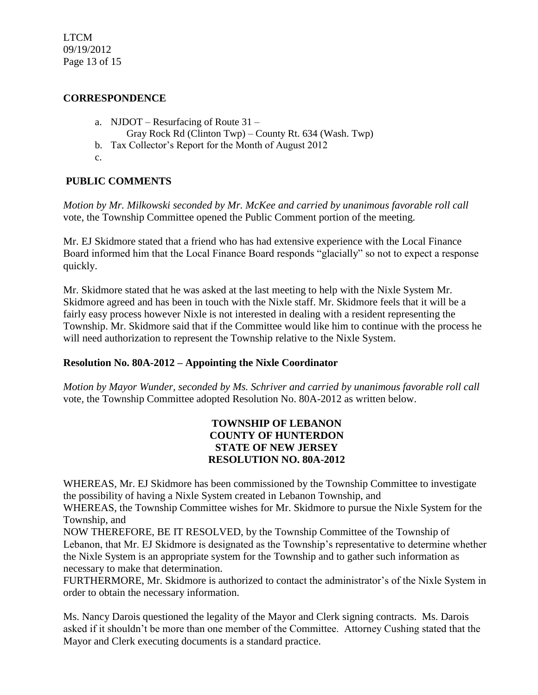LTCM 09/19/2012 Page 13 of 15

### **CORRESPONDENCE**

- a. NJDOT Resurfacing of Route 31
	- Gray Rock Rd (Clinton Twp) County Rt. 634 (Wash. Twp)
- b. Tax Collector's Report for the Month of August 2012
- c.

# **PUBLIC COMMENTS**

*Motion by Mr. Milkowski seconded by Mr. McKee and carried by unanimous favorable roll call*  vote, the Township Committee opened the Public Comment portion of the meeting.

Mr. EJ Skidmore stated that a friend who has had extensive experience with the Local Finance Board informed him that the Local Finance Board responds "glacially" so not to expect a response quickly.

Mr. Skidmore stated that he was asked at the last meeting to help with the Nixle System Mr. Skidmore agreed and has been in touch with the Nixle staff. Mr. Skidmore feels that it will be a fairly easy process however Nixle is not interested in dealing with a resident representing the Township. Mr. Skidmore said that if the Committee would like him to continue with the process he will need authorization to represent the Township relative to the Nixle System.

## **Resolution No. 80A-2012 – Appointing the Nixle Coordinator**

*Motion by Mayor Wunder, seconded by Ms. Schriver and carried by unanimous favorable roll call*  vote*,* the Township Committee adopted Resolution No. 80A-2012 as written below.

### **TOWNSHIP OF LEBANON COUNTY OF HUNTERDON STATE OF NEW JERSEY RESOLUTION NO. 80A-2012**

WHEREAS, Mr. EJ Skidmore has been commissioned by the Township Committee to investigate the possibility of having a Nixle System created in Lebanon Township, and

WHEREAS, the Township Committee wishes for Mr. Skidmore to pursue the Nixle System for the Township, and

NOW THEREFORE, BE IT RESOLVED, by the Township Committee of the Township of Lebanon, that Mr. EJ Skidmore is designated as the Township's representative to determine whether the Nixle System is an appropriate system for the Township and to gather such information as necessary to make that determination.

FURTHERMORE, Mr. Skidmore is authorized to contact the administrator's of the Nixle System in order to obtain the necessary information.

Ms. Nancy Darois questioned the legality of the Mayor and Clerk signing contracts. Ms. Darois asked if it shouldn't be more than one member of the Committee. Attorney Cushing stated that the Mayor and Clerk executing documents is a standard practice.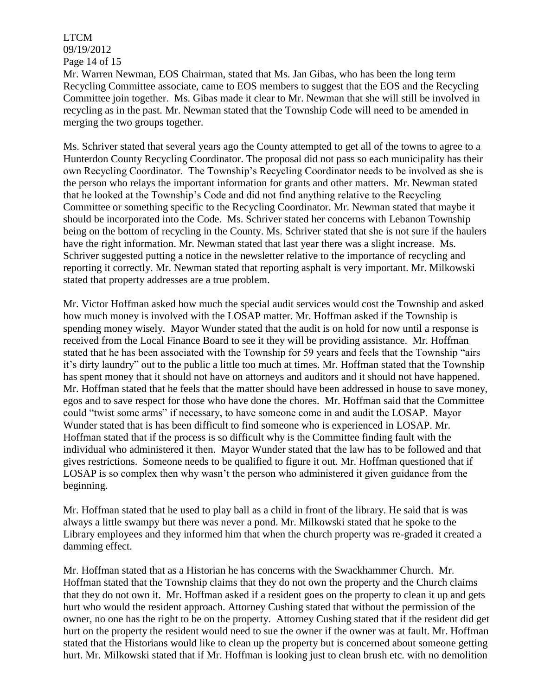LTCM 09/19/2012 Page 14 of 15

Mr. Warren Newman, EOS Chairman, stated that Ms. Jan Gibas, who has been the long term Recycling Committee associate, came to EOS members to suggest that the EOS and the Recycling Committee join together. Ms. Gibas made it clear to Mr. Newman that she will still be involved in recycling as in the past. Mr. Newman stated that the Township Code will need to be amended in merging the two groups together.

Ms. Schriver stated that several years ago the County attempted to get all of the towns to agree to a Hunterdon County Recycling Coordinator. The proposal did not pass so each municipality has their own Recycling Coordinator. The Township's Recycling Coordinator needs to be involved as she is the person who relays the important information for grants and other matters. Mr. Newman stated that he looked at the Township's Code and did not find anything relative to the Recycling Committee or something specific to the Recycling Coordinator. Mr. Newman stated that maybe it should be incorporated into the Code. Ms. Schriver stated her concerns with Lebanon Township being on the bottom of recycling in the County. Ms. Schriver stated that she is not sure if the haulers have the right information. Mr. Newman stated that last year there was a slight increase. Ms. Schriver suggested putting a notice in the newsletter relative to the importance of recycling and reporting it correctly. Mr. Newman stated that reporting asphalt is very important. Mr. Milkowski stated that property addresses are a true problem.

Mr. Victor Hoffman asked how much the special audit services would cost the Township and asked how much money is involved with the LOSAP matter. Mr. Hoffman asked if the Township is spending money wisely. Mayor Wunder stated that the audit is on hold for now until a response is received from the Local Finance Board to see it they will be providing assistance. Mr. Hoffman stated that he has been associated with the Township for 59 years and feels that the Township "airs it's dirty laundry" out to the public a little too much at times. Mr. Hoffman stated that the Township has spent money that it should not have on attorneys and auditors and it should not have happened. Mr. Hoffman stated that he feels that the matter should have been addressed in house to save money, egos and to save respect for those who have done the chores. Mr. Hoffman said that the Committee could "twist some arms" if necessary, to have someone come in and audit the LOSAP. Mayor Wunder stated that is has been difficult to find someone who is experienced in LOSAP. Mr. Hoffman stated that if the process is so difficult why is the Committee finding fault with the individual who administered it then. Mayor Wunder stated that the law has to be followed and that gives restrictions. Someone needs to be qualified to figure it out. Mr. Hoffman questioned that if LOSAP is so complex then why wasn't the person who administered it given guidance from the beginning.

Mr. Hoffman stated that he used to play ball as a child in front of the library. He said that is was always a little swampy but there was never a pond. Mr. Milkowski stated that he spoke to the Library employees and they informed him that when the church property was re-graded it created a damming effect.

Mr. Hoffman stated that as a Historian he has concerns with the Swackhammer Church. Mr. Hoffman stated that the Township claims that they do not own the property and the Church claims that they do not own it. Mr. Hoffman asked if a resident goes on the property to clean it up and gets hurt who would the resident approach. Attorney Cushing stated that without the permission of the owner, no one has the right to be on the property. Attorney Cushing stated that if the resident did get hurt on the property the resident would need to sue the owner if the owner was at fault. Mr. Hoffman stated that the Historians would like to clean up the property but is concerned about someone getting hurt. Mr. Milkowski stated that if Mr. Hoffman is looking just to clean brush etc. with no demolition